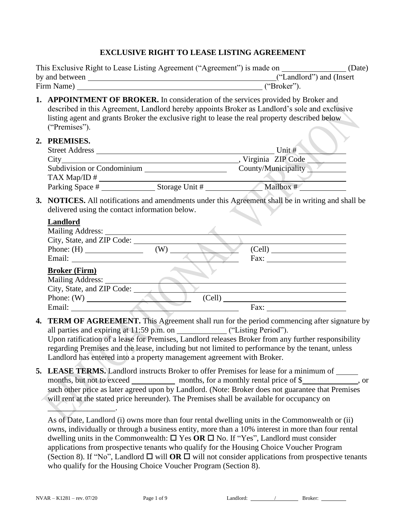#### **EXCLUSIVE RIGHT TO LEASE LISTING AGREEMENT**

|                | This Exclusive Right to Lease Listing Agreement ("Agreement") is made on | (Date)                    |
|----------------|--------------------------------------------------------------------------|---------------------------|
| by and between |                                                                          | ("Landlord") and (Insert) |
| Firm Name)     | ("Broker").                                                              |                           |

- **1. APPOINTMENT OF BROKER.** In consideration of the services provided by Broker and described in this Agreement, Landlord hereby appoints Broker as Landlord's sole and exclusive listing agent and grants Broker the exclusive right to lease the real property described below ("Premises").
- **2. PREMISES.**

| PREMISES.                  |                |                     |
|----------------------------|----------------|---------------------|
| <b>Street Address</b>      |                | Unit $#$            |
| City                       |                | Virginia ZIP Code   |
| Subdivision or Condominium |                | County/Municipality |
| TAX Map/ID $#$             |                |                     |
| Parking Space #            | Storage Unit # | Mailbox #           |

**3. NOTICES.** All notifications and amendments under this Agreement shall be in writing and shall be delivered using the contact information below.

#### **Landlord**

| <b>Mailing Address:</b>    |        |        |
|----------------------------|--------|--------|
| City, State, and ZIP Code: |        |        |
|                            | (W)    | (Cell) |
|                            |        | Fax:   |
| <b>Broker (Firm)</b>       |        |        |
| Mailing Address: _____     |        |        |
| City, State, and ZIP Code: |        |        |
|                            | (Cell) |        |
| Email:                     |        | Fax:   |

- **4. TERM OF AGREEMENT.** This Agreement shall run for the period commencing after signature by all parties and expiring at 11:59 p.m. on ("Listing Period"). Upon ratification of a lease for Premises, Landlord releases Broker from any further responsibility regarding Premises and the lease, including but not limited to performance by the tenant, unless Landlord has entered into a property management agreement with Broker.
- **5. LEASE TERMS.** Landlord instructs Broker to offer Premises for lease for a minimum of months, but not to exceed months, for a monthly rental price of \$ such other price as later agreed upon by Landlord. (Note: Broker does not guarantee that Premises will rent at the stated price hereunder). The Premises shall be available for occupancy on

As of Date, Landlord (i) owns more than four rental dwelling units in the Commonwealth or (ii) owns, individually or through a business entity, more than a 10% interest in more than four rental dwelling units in the Commonwealth:  $\Box$  Yes OR  $\Box$  No. If "Yes", Landlord must consider applications from prospective tenants who qualify for the Housing Choice Voucher Program (Section 8). If "No", Landlord  $\Box$  will **OR**  $\Box$  will not consider applications from prospective tenants who qualify for the Housing Choice Voucher Program (Section 8).

 $\blacksquare$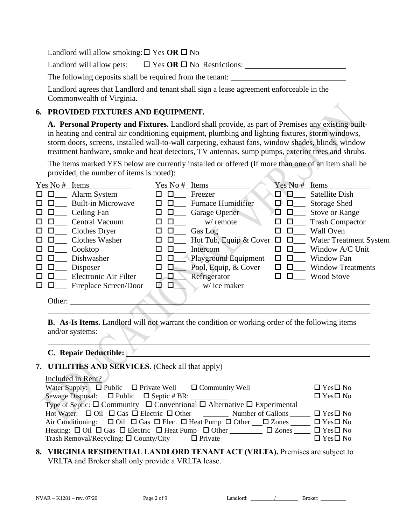Landlord will allow smoking:  $\square$  Yes  $OR \square$  No

Landlord will allow pets:  $\Box$  Yes OR  $\Box$  No Restrictions:  $\Box$ 

The following deposits shall be required from the tenant:

Landlord agrees that Landlord and tenant shall sign a lease agreement enforceable in the Commonwealth of Virginia.

### **6. PROVIDED FIXTURES AND EQUIPMENT.**

**A. Personal Property and Fixtures.** Landlord shall provide, as part of Premises any existing builtin heating and central air conditioning equipment, plumbing and lighting fixtures, storm windows, storm doors, screens, installed wall-to-wall carpeting, exhaust fans, window shades, blinds, window treatment hardware, smoke and heat detectors, TV antennas, sump pumps, exterior trees and shrubs.

The items marked YES below are currently installed or offered (If more than one of an item shall be provided, the number of items is noted):

|              | Yes No # | Items                     | Yes No #    | Items                                |              | Yes No#      | Items                    |
|--------------|----------|---------------------------|-------------|--------------------------------------|--------------|--------------|--------------------------|
| ப            |          | Alarm System              | ΙI          | Freezer                              | □            | Ð            | Satellite Dish           |
|              |          | <b>Built-in Microwave</b> |             | <b>Furnace Humidifier</b>            | ◻            |              | <b>Storage Shed</b>      |
| ப            |          | Ceiling Fan               |             | Garage Opener                        | ப            |              | <b>Stove or Range</b>    |
|              |          | <b>Central Vacuum</b>     |             | w/ remote                            | п            |              | <b>Trash Compactor</b>   |
| ப            |          | Clothes Dryer             | $\Box$<br>ப | Gas Log                              |              |              | <b>Wall Oven</b>         |
|              |          | <b>Clothes Washer</b>     |             | Hot Tub, Equip & Cover $\Box$ $\Box$ |              |              | Water Treatment System   |
|              |          | Cooktop                   |             | Intercom                             | ΙI           |              | Window A/C Unit          |
|              |          | Dishwasher                | $\Box$      | <b>Playground Equipment</b>          |              | $\mathbf{L}$ | Window Fan               |
| $\mathbf{L}$ |          | Disposer                  | Ш<br>LΙ     | Pool, Equip, & Cover                 | $\mathsf{L}$ |              | <b>Window Treatments</b> |
| $\mathsf{L}$ |          | Electronic Air Filter     | O.<br>ப     | Refrigerator                         |              |              | <b>Wood Stove</b>        |
|              |          | Fireplace Screen/Door     | п<br>H      | w/ice maker                          |              |              |                          |
|              | Other:   |                           |             |                                      |              |              |                          |

**B. As-Is Items.** Landlord will not warrant the condition or working order of the following items and/or systems:

#### **C. Repair Deductible:**

#### **7. UTILITIES AND SERVICES.** (Check all that apply)

## Included in Rent?

| Water Supply: $\Box$ Public $\Box$ Private Well $\Box$ Community Well                                                        | $\Box$ Yes $\Box$ No |
|------------------------------------------------------------------------------------------------------------------------------|----------------------|
|                                                                                                                              | $\Box$ Yes $\Box$ No |
| Type of Septic: $\square$ Community $\square$ Conventional $\square$ Alternative $\square$ Experimental                      |                      |
| Hot Water: $\Box$ Oil $\Box$ Gas $\Box$ Electric $\Box$ Other Number of Gallons $\Box$ Yes $\Box$ No                         |                      |
| Air Conditioning: $\Box$ Oil $\Box$ Gas $\Box$ Elec. $\Box$ Heat Pump $\Box$ Other $\Box$ Zones $\Box$ Yes $\Box$ No         |                      |
| Heating: $\Box$ Oil $\Box$ Gas $\Box$ Electric $\Box$ Heat Pump $\Box$ Other $\Box$ $\Box$ Zones $\Box$ $\Box$ Yes $\Box$ No |                      |
| Trash Removal/Recycling: $\Box$ County/City $\Box$ Private                                                                   | $\Box$ Yes $\Box$ No |

#### **8. VIRGINIA RESIDENTIAL LANDLORD TENANT ACT (VRLTA).** Premises are subject to VRLTA and Broker shall only provide a VRLTA lease.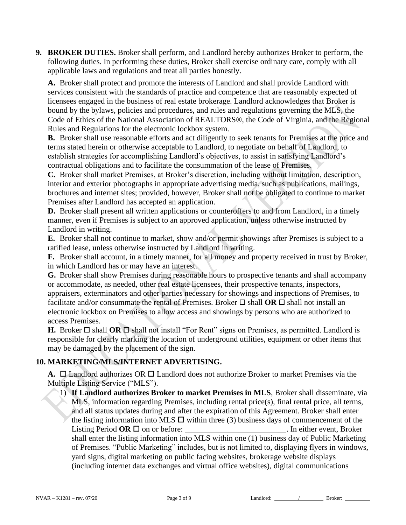**9. BROKER DUTIES.** Broker shall perform, and Landlord hereby authorizes Broker to perform, the following duties. In performing these duties, Broker shall exercise ordinary care, comply with all applicable laws and regulations and treat all parties honestly.

**A.** Broker shall protect and promote the interests of Landlord and shall provide Landlord with services consistent with the standards of practice and competence that are reasonably expected of licensees engaged in the business of real estate brokerage. Landlord acknowledges that Broker is bound by the bylaws, policies and procedures, and rules and regulations governing the MLS, the Code of Ethics of the National Association of REALTORS®, the Code of Virginia, and the Regional Rules and Regulations for the electronic lockbox system.

**B.** Broker shall use reasonable efforts and act diligently to seek tenants for Premises at the price and terms stated herein or otherwise acceptable to Landlord, to negotiate on behalf of Landlord, to establish strategies for accomplishing Landlord's objectives, to assist in satisfying Landlord's contractual obligations and to facilitate the consummation of the lease of Premises.

**C.** Broker shall market Premises, at Broker's discretion, including without limitation, description, interior and exterior photographs in appropriate advertising media, such as publications, mailings, brochures and internet sites; provided, however, Broker shall not be obligated to continue to market Premises after Landlord has accepted an application.

**D.** Broker shall present all written applications or counteroffers to and from Landlord, in a timely manner, even if Premises is subject to an approved application, unless otherwise instructed by Landlord in writing.

**E.** Broker shall not continue to market, show and/or permit showings after Premises is subject to a ratified lease, unless otherwise instructed by Landlord in writing.

**F.** Broker shall account, in a timely manner, for all money and property received in trust by Broker, in which Landlord has or may have an interest.

**G.** Broker shall show Premises during reasonable hours to prospective tenants and shall accompany or accommodate, as needed, other real estate licensees, their prospective tenants, inspectors, appraisers, exterminators and other parties necessary for showings and inspections of Premises, to facilitate and/or consummate the rental of Premises. Broker  $\Box$  shall **OR**  $\Box$  shall not install an electronic lockbox on Premises to allow access and showings by persons who are authorized to access Premises.

**H.** Broker  $\Box$  shall **OR**  $\Box$  shall not install "For Rent" signs on Premises, as permitted. Landlord is responsible for clearly marking the location of underground utilities, equipment or other items that may be damaged by the placement of the sign.

## **10. MARKETING/MLS/INTERNET ADVERTISING.**

**A.**  $\Box$  Landlord authorizes OR  $\Box$  Landlord does not authorize Broker to market Premises via the Multiple Listing Service ("MLS").

1) **If Landlord authorizes Broker to market Premises in MLS**, Broker shall disseminate, via MLS, information regarding Premises, including rental price(s), final rental price, all terms, and all status updates during and after the expiration of this Agreement. Broker shall enter the listing information into MLS  $\Box$  within three (3) business days of commencement of the Listing Period  $OR \square$  on or before: . In either event, Broker shall enter the listing information into MLS within one (1) business day of Public Marketing of Premises. "Public Marketing" includes, but is not limited to, displaying flyers in windows, yard signs, digital marketing on public facing websites, brokerage website displays (including internet data exchanges and virtual office websites), digital communications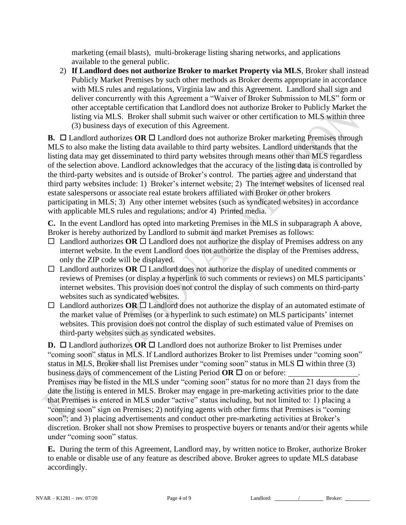marketing (email blasts), multi-brokerage listing sharing networks, and applications available to the general public.

2) **If Landlord does not authorize Broker to market Property via MLS**, Broker shall instead Publicly Market Premises by such other methods as Broker deems appropriate in accordance with MLS rules and regulations, Virginia law and this Agreement. Landlord shall sign and deliver concurrently with this Agreement a "Waiver of Broker Submission to MLS" form or other acceptable certification that Landlord does not authorize Broker to Publicly Market the listing via MLS. Broker shall submit such waiver or other certification to MLS within three (3) business days of execution of this Agreement.

**B.**  $\Box$  Landlord authorizes **OR**  $\Box$  Landlord does not authorize Broker marketing Premises through MLS to also make the listing data available to third party websites. Landlord understands that the listing data may get disseminated to third party websites through means other than MLS regardless of the selection above. Landlord acknowledges that the accuracy of the listing data is controlled by the third-party websites and is outside of Broker's control. The parties agree and understand that third party websites include: 1) Broker's internet website; 2) The internet websites of licensed real estate salespersons or associate real estate brokers affiliated with Broker or other brokers participating in MLS; 3) Any other internet websites (such as syndicated websites) in accordance with applicable MLS rules and regulations; and/or 4) Printed media.

**C.** In the event Landlord has opted into marketing Premises in the MLS in subparagraph A above, Broker is hereby authorized by Landlord to submit and market Premises as follows:

- $\Box$  Landlord authorizes **OR**  $\Box$  Landlord does not authorize the display of Premises address on any internet website. In the event Landlord does not authorize the display of the Premises address, only the ZIP code will be displayed.
- $\Box$  Landlord authorizes **OR**  $\Box$  Landlord does not authorize the display of unedited comments or reviews of Premises (or display a hyperlink to such comments or reviews) on MLS participants' internet websites. This provision does not control the display of such comments on third-party websites such as syndicated websites.
- $\Box$  Landlord authorizes OR  $\Box$  Landlord does not authorize the display of an automated estimate of the market value of Premises (or a hyperlink to such estimate) on MLS participants' internet websites. This provision does not control the display of such estimated value of Premises on third-party websites such as syndicated websites.

**D.**  $\Box$  Landlord authorizes **OR**  $\Box$  Landlord does not authorize Broker to list Premises under "coming soon" status in MLS. If Landlord authorizes Broker to list Premises under "coming soon" status in MLS, Broker shall list Premises under "coming soon" status in MLS  $\Box$  within three (3) business days of commencement of the Listing Period  $OR \square$  on or before:

Premises may be listed in the MLS under "coming soon" status for no more than 21 days from the date the listing is entered in MLS. Broker may engage in pre-marketing activities prior to the date that Premises is entered in MLS under "active" status including, but not limited to: 1) placing a "coming soon" sign on Premises; 2) notifying agents with other firms that Premises is "coming soon"; and 3) placing advertisements and conduct other pre-marketing activities at Broker's discretion. Broker shall not show Premises to prospective buyers or tenants and/or their agents while under "coming soon" status.

**E.** During the term of this Agreement, Landlord may, by written notice to Broker, authorize Broker to enable or disable use of any feature as described above. Broker agrees to update MLS database accordingly.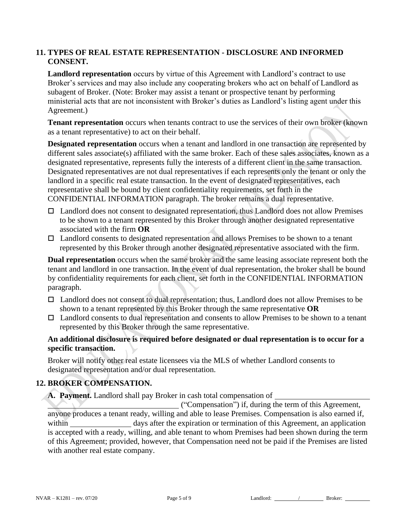#### **11. TYPES OF REAL ESTATE REPRESENTATION - DISCLOSURE AND INFORMED CONSENT.**

**Landlord representation** occurs by virtue of this Agreement with Landlord's contract to use Broker's services and may also include any cooperating brokers who act on behalf of Landlord as subagent of Broker. (Note: Broker may assist a tenant or prospective tenant by performing ministerial acts that are not inconsistent with Broker's duties as Landlord's listing agent under this Agreement.)

**Tenant representation** occurs when tenants contract to use the services of their own broker (known as a tenant representative) to act on their behalf.

**Designated representation** occurs when a tenant and landlord in one transaction are represented by different sales associate(s) affiliated with the same broker. Each of these sales associates, known as a designated representative, represents fully the interests of a different client in the same transaction. Designated representatives are not dual representatives if each represents only the tenant or only the landlord in a specific real estate transaction. In the event of designated representatives, each representative shall be bound by client confidentiality requirements, set forth in the CONFIDENTIAL INFORMATION paragraph. The broker remains a dual representative.

- $\Box$  Landlord does not consent to designated representation, thus Landlord does not allow Premises to be shown to a tenant represented by this Broker through another designated representative associated with the firm **OR**
- $\Box$  Landlord consents to designated representation and allows Premises to be shown to a tenant represented by this Broker through another designated representative associated with the firm.

**Dual representation** occurs when the same broker and the same leasing associate represent both the tenant and landlord in one transaction. In the event of dual representation, the broker shall be bound by confidentiality requirements for each client, set forth in the CONFIDENTIAL INFORMATION paragraph.

- □ Landlord does not consent to dual representation; thus, Landlord does not allow Premises to be shown to a tenant represented by this Broker through the same representative **OR**
- $\Box$  Landlord consents to dual representation and consents to allow Premises to be shown to a tenant represented by this Broker through the same representative.

## **An additional disclosure is required before designated or dual representation is to occur for a specific transaction.**

Broker will notify other real estate licensees via the MLS of whether Landlord consents to designated representation and/or dual representation.

## **12. BROKER COMPENSATION.**

**A. Payment.** Landlord shall pay Broker in cash total compensation of

("Compensation") if, during the term of this Agreement, anyone produces a tenant ready, willing and able to lease Premises. Compensation is also earned if, within days after the expiration or termination of this Agreement, an application is accepted with a ready, willing, and able tenant to whom Premises had been shown during the term of this Agreement; provided, however, that Compensation need not be paid if the Premises are listed with another real estate company.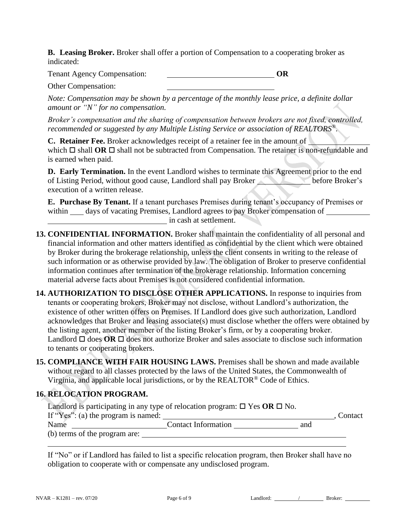**B. Leasing Broker.** Broker shall offer a portion of Compensation to a cooperating broker as indicated:

Tenant Agency Compensation: **OR**

Other Compensation:

*Note: Compensation may be shown by a percentage of the monthly lease price, a definite dollar amount or "N" for no compensation.*

*Broker's compensation and the sharing of compensation between brokers are not fixed, controlled, recommended or suggested by any Multiple Listing Service or association of REALTORS®.*

**C. Retainer Fee.** Broker acknowledges receipt of a retainer fee in the amount of which  $\Box$  shall **OR**  $\Box$  shall not be subtracted from Compensation. The retainer is non-refundable and is earned when paid.

**D. Early Termination.** In the event Landlord wishes to terminate this Agreement prior to the end of Listing Period, without good cause, Landlord shall pay Broker before Broker's execution of a written release.

**E. Purchase By Tenant.** If a tenant purchases Premises during tenant's occupancy of Premises or within days of vacating Premises, Landlord agrees to pay Broker compensation of in cash at settlement.

- **13. CONFIDENTIAL INFORMATION.** Broker shall maintain the confidentiality of all personal and financial information and other matters identified as confidential by the client which were obtained by Broker during the brokerage relationship, unless the client consents in writing to the release of such information or as otherwise provided by law. The obligation of Broker to preserve confidential information continues after termination of the brokerage relationship. Information concerning material adverse facts about Premises is not considered confidential information.
- **14. AUTHORIZATION TO DISCLOSE OTHER APPLICATIONS.** In response to inquiries from tenants or cooperating brokers, Broker may not disclose, without Landlord's authorization, the existence of other written offers on Premises. If Landlord does give such authorization, Landlord acknowledges that Broker and leasing associate(s) must disclose whether the offers were obtained by the listing agent, another member of the listing Broker's firm, or by a cooperating broker. Landlord  $\Box$  does **OR**  $\Box$  does not authorize Broker and sales associate to disclose such information to tenants or cooperating brokers.
- **15. COMPLIANCE WITH FAIR HOUSING LAWS.** Premises shall be shown and made available without regard to all classes protected by the laws of the United States, the Commonwealth of Virginia, and applicable local jurisdictions, or by the REALTOR® Code of Ethics.

# **16. RELOCATION PROGRAM.**

|                                         | Landlord is participating in any type of relocation program: $\square$ Yes OR $\square$ No. |     |           |
|-----------------------------------------|---------------------------------------------------------------------------------------------|-----|-----------|
| If " $Yes$ ": (a) the program is named: |                                                                                             |     | . Contact |
| Name                                    | <b>Contact Information</b>                                                                  | and |           |
| (b) terms of the program are:           |                                                                                             |     |           |

If "No" or if Landlord has failed to list a specific relocation program, then Broker shall have no obligation to cooperate with or compensate any undisclosed program.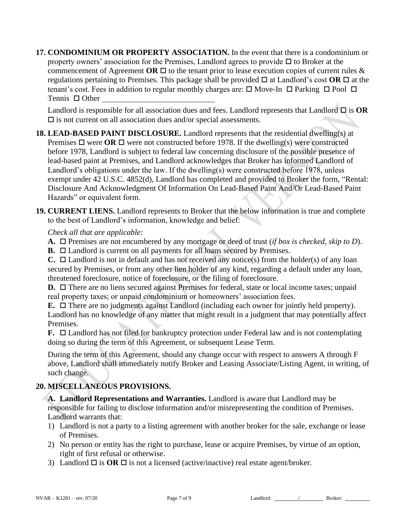**17. CONDOMINIUM OR PROPERTY ASSOCIATION.** In the event that there is a condominium or property owners' association for the Premises, Landlord agrees to provide  $\Box$  to Broker at the commencement of Agreement **OR**  $\Box$  to the tenant prior to lease execution copies of current rules  $\&$ regulations pertaining to Premises. This package shall be provided  $\Box$  at Landlord's cost  $\overline{OR} \Box$  at the tenant's cost. Fees in addition to regular monthly charges are:  $\Box$  Move-In  $\Box$  Parking  $\Box$  Pool  $\Box$ Tennis □ Other

Landlord is responsible for all association dues and fees. Landlord represents that Landlord  $\square$  is  $OR$  $\square$  is not current on all association dues and/or special assessments.

- **18. LEAD-BASED PAINT DISCLOSURE.** Landlord represents that the residential dwelling(s) at Premises  $\Box$  were **OR**  $\Box$  were not constructed before 1978. If the dwelling(s) were constructed before 1978, Landlord is subject to federal law concerning disclosure of the possible presence of lead-based paint at Premises, and Landlord acknowledges that Broker has informed Landlord of Landlord's obligations under the law. If the dwelling(s) were constructed before 1978, unless exempt under 42 U.S.C. 4852(d), Landlord has completed and provided to Broker the form, "Rental: Disclosure And Acknowledgment Of Information On Lead-Based Paint And/Or Lead-Based Paint Hazards" or equivalent form.
- **19. CURRENT LIENS.** Landlord represents to Broker that the below information is true and complete to the best of Landlord's information, knowledge and belief:

#### *Check all that are applicable:*

A. □ Premises are not encumbered by any mortgage or deed of trust (*if box is checked, skip to D*).

**B.** □ Landlord is current on all payments for all loans secured by Premises.

**C.**  $\Box$  Landlord is not in default and has not received any notice(s) from the holder(s) of any loan secured by Premises, or from any other lien holder of any kind, regarding a default under any loan, threatened foreclosure, notice of foreclosure, or the filing of foreclosure.

**D.** □ There are no liens secured against Premises for federal, state or local income taxes; unpaid real property taxes; or unpaid condominium or homeowners' association fees.

**E.** □ There are no judgments against Landlord (including each owner for jointly held property). Landlord has no knowledge of any matter that might result in a judgment that may potentially affect Premises.

**F.**  $\Box$  Landlord has not filed for bankruptcy protection under Federal law and is not contemplating doing so during the term of this Agreement, or subsequent Lease Term.

During the term of this Agreement, should any change occur with respect to answers A through F above, Landlord shall immediately notify Broker and Leasing Associate/Listing Agent, in writing, of such change.

## **20. MISCELLANEOUS PROVISIONS.**

**A. Landlord Representations and Warranties.** Landlord is aware that Landlord may be responsible for failing to disclose information and/or misrepresenting the condition of Premises. Landlord warrants that:

- 1) Landlord is not a party to a listing agreement with another broker for the sale, exchange or lease of Premises.
- 2) No person or entity has the right to purchase, lease or acquire Premises, by virtue of an option, right of first refusal or otherwise.
- 3) Landlord  $\Box$  is  $OR \Box$  is not a licensed (active/inactive) real estate agent/broker.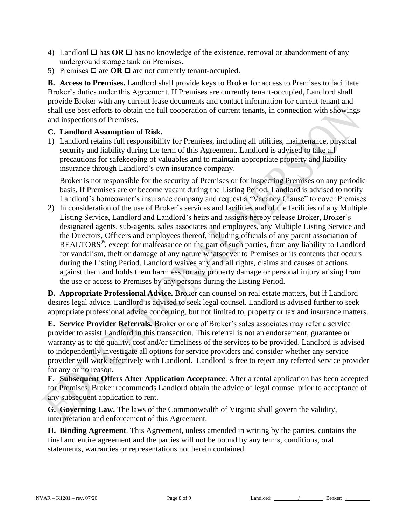- 4) Landlord  $\Box$  has **OR**  $\Box$  has no knowledge of the existence, removal or abandonment of any underground storage tank on Premises.
- 5) Premises  $\Box$  are **OR**  $\Box$  are not currently tenant-occupied.

**B. Access to Premises.** Landlord shall provide keys to Broker for access to Premises to facilitate Broker's duties under this Agreement. If Premises are currently tenant-occupied, Landlord shall provide Broker with any current lease documents and contact information for current tenant and shall use best efforts to obtain the full cooperation of current tenants, in connection with showings and inspections of Premises.

#### **C. Landlord Assumption of Risk.**

1) Landlord retains full responsibility for Premises, including all utilities, maintenance, physical security and liability during the term of this Agreement. Landlord is advised to take all precautions for safekeeping of valuables and to maintain appropriate property and liability insurance through Landlord's own insurance company.

Broker is not responsible for the security of Premises or for inspecting Premises on any periodic basis. If Premises are or become vacant during the Listing Period, Landlord is advised to notify Landlord's homeowner's insurance company and request a "Vacancy Clause" to cover Premises.

2) In consideration of the use of Broker's services and facilities and of the facilities of any Multiple Listing Service, Landlord and Landlord's heirs and assigns hereby release Broker, Broker's designated agents, sub-agents, sales associates and employees, any Multiple Listing Service and the Directors, Officers and employees thereof, including officials of any parent association of REALTORS®, except for malfeasance on the part of such parties, from any liability to Landlord for vandalism, theft or damage of any nature whatsoever to Premises or its contents that occurs during the Listing Period. Landlord waives any and all rights, claims and causes of actions against them and holds them harmless for any property damage or personal injury arising from the use or access to Premises by any persons during the Listing Period.

**D. Appropriate Professional Advice.** Broker can counsel on real estate matters, but if Landlord desires legal advice, Landlord is advised to seek legal counsel. Landlord is advised further to seek appropriate professional advice concerning, but not limited to, property or tax and insurance matters.

**E. Service Provider Referrals.** Broker or one of Broker's sales associates may refer a service provider to assist Landlord in this transaction. This referral is not an endorsement, guarantee or warranty as to the quality, cost and/or timeliness of the services to be provided. Landlord is advised to independently investigate all options for service providers and consider whether any service provider will work effectively with Landlord. Landlord is free to reject any referred service provider for any or no reason.

**F. Subsequent Offers After Application Acceptance**. After a rental application has been accepted for Premises, Broker recommends Landlord obtain the advice of legal counsel prior to acceptance of any subsequent application to rent.

**G. Governing Law.** The laws of the Commonwealth of Virginia shall govern the validity, interpretation and enforcement of this Agreement.

**H. Binding Agreement**. This Agreement, unless amended in writing by the parties, contains the final and entire agreement and the parties will not be bound by any terms, conditions, oral statements, warranties or representations not herein contained.